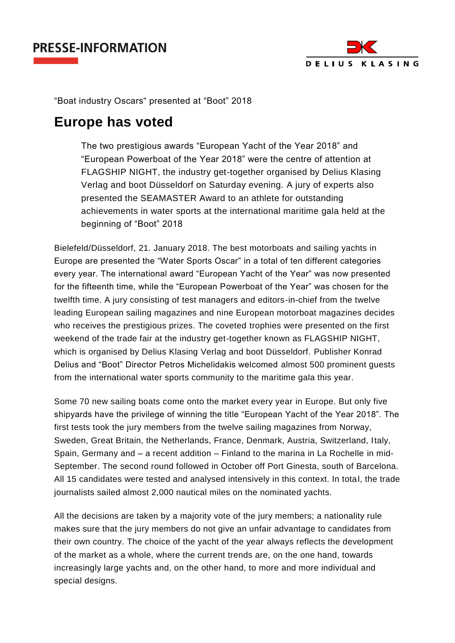## **PRESSE-INFORMATION**



"Boat industry Oscars" presented at "Boot" 2018

## **Europe has voted**

The two prestigious awards "European Yacht of the Year 2018" and "European Powerboat of the Year 2018" were the centre of attention at FLAGSHIP NIGHT, the industry get-together organised by Delius Klasing Verlag and boot Düsseldorf on Saturday evening. A jury of experts also presented the SEAMASTER Award to an athlete for outstanding achievements in water sports at the international maritime gala held at the beginning of "Boot" 2018

Bielefeld/Düsseldorf, 21. January 2018. The best motorboats and sailing yachts in Europe are presented the "Water Sports Oscar" in a total of ten different categories every year. The international award "European Yacht of the Year" was now presented for the fifteenth time, while the "European Powerboat of the Year" was chosen for the twelfth time. A jury consisting of test managers and editors-in-chief from the twelve leading European sailing magazines and nine European motorboat magazines decides who receives the prestigious prizes. The coveted trophies were presented on the first weekend of the trade fair at the industry get-together known as FLAGSHIP NIGHT, which is organised by Delius Klasing Verlag and boot Düsseldorf. Publisher Konrad Delius and "Boot" Director Petros Michelidakis welcomed almost 500 prominent guests from the international water sports community to the maritime gala this year.

Some 70 new sailing boats come onto the market every year in Europe. But only five shipyards have the privilege of winning the title "European Yacht of the Year 2018". The first tests took the jury members from the twelve sailing magazines from Norway, Sweden, Great Britain, the Netherlands, France, Denmark, Austria, Switzerland, Italy, Spain, Germany and – a recent addition – Finland to the marina in La Rochelle in mid-September. The second round followed in October off Port Ginesta, south of Barcelona. All 15 candidates were tested and analysed intensively in this context. In total, the trade journalists sailed almost 2,000 nautical miles on the nominated yachts.

All the decisions are taken by a majority vote of the jury members; a nationality rule makes sure that the jury members do not give an unfair advantage to candidates from their own country. The choice of the yacht of the year always reflects the development of the market as a whole, where the current trends are, on the one hand, towards increasingly large yachts and, on the other hand, to more and more individual and special designs.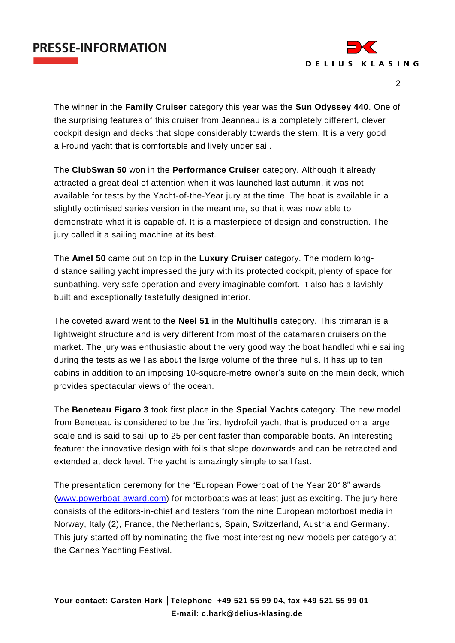



 $\mathfrak{D}$ 

The winner in the **Family Cruiser** category this year was the **Sun Odyssey 440**. One of the surprising features of this cruiser from Jeanneau is a completely different, clever cockpit design and decks that slope considerably towards the stern. It is a very good all-round yacht that is comfortable and lively under sail.

The **ClubSwan 50** won in the **Performance Cruiser** category. Although it already attracted a great deal of attention when it was launched last autumn, it was not available for tests by the Yacht-of-the-Year jury at the time. The boat is available in a slightly optimised series version in the meantime, so that it was now able to demonstrate what it is capable of. It is a masterpiece of design and construction. The jury called it a sailing machine at its best.

The **Amel 50** came out on top in the **Luxury Cruiser** category. The modern longdistance sailing yacht impressed the jury with its protected cockpit, plenty of space for sunbathing, very safe operation and every imaginable comfort. It also has a lavishly built and exceptionally tastefully designed interior.

The coveted award went to the **Neel 51** in the **Multihulls** category. This trimaran is a lightweight structure and is very different from most of the catamaran cruisers on the market. The jury was enthusiastic about the very good way the boat handled while sailing during the tests as well as about the large volume of the three hulls. It has up to ten cabins in addition to an imposing 10-square-metre owner's suite on the main deck, which provides spectacular views of the ocean.

The **Beneteau Figaro 3** took first place in the **Special Yachts** category. The new model from Beneteau is considered to be the first hydrofoil yacht that is produced on a large scale and is said to sail up to 25 per cent faster than comparable boats. An interesting feature: the innovative design with foils that slope downwards and can be retracted and extended at deck level. The yacht is amazingly simple to sail fast.

The presentation ceremony for the "European Powerboat of the Year 2018" awards [\(www.powerboat-award.com\)](http://www.powerboat-award.com/) for motorboats was at least just as exciting. The jury here consists of the editors-in-chief and testers from the nine European motorboat media in Norway, Italy (2), France, the Netherlands, Spain, Switzerland, Austria and Germany. This jury started off by nominating the five most interesting new models per category at the Cannes Yachting Festival.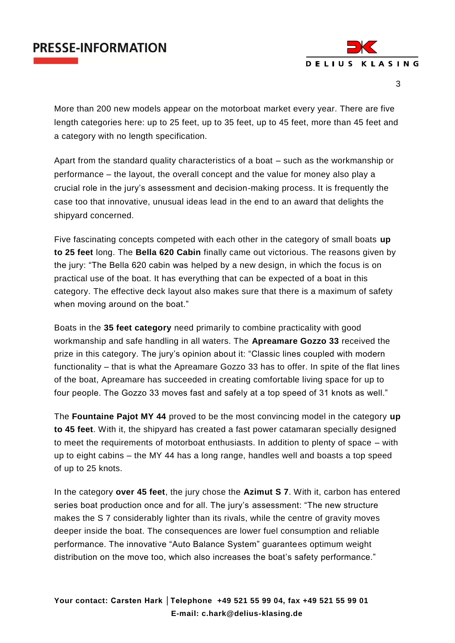## **PRESSE-INFORMATION**



3

More than 200 new models appear on the motorboat market every year. There are five length categories here: up to 25 feet, up to 35 feet, up to 45 feet, more than 45 feet and a category with no length specification.

Apart from the standard quality characteristics of a boat – such as the workmanship or performance – the layout, the overall concept and the value for money also play a crucial role in the jury's assessment and decision-making process. It is frequently the case too that innovative, unusual ideas lead in the end to an award that delights the shipyard concerned.

Five fascinating concepts competed with each other in the category of small boats **up to 25 feet** long. The **Bella 620 Cabin** finally came out victorious. The reasons given by the jury: "The Bella 620 cabin was helped by a new design, in which the focus is on practical use of the boat. It has everything that can be expected of a boat in this category. The effective deck layout also makes sure that there is a maximum of safety when moving around on the boat."

Boats in the **35 feet category** need primarily to combine practicality with good workmanship and safe handling in all waters. The **Apreamare Gozzo 33** received the prize in this category. The jury's opinion about it: "Classic lines coupled with modern functionality – that is what the Apreamare Gozzo 33 has to offer. In spite of the flat lines of the boat, Apreamare has succeeded in creating comfortable living space for up to four people. The Gozzo 33 moves fast and safely at a top speed of 31 knots as well."

The **Fountaine Pajot MY 44** proved to be the most convincing model in the category **up to 45 feet**. With it, the shipyard has created a fast power catamaran specially designed to meet the requirements of motorboat enthusiasts. In addition to plenty of space – with up to eight cabins – the MY 44 has a long range, handles well and boasts a top speed of up to 25 knots.

In the category **over 45 feet**, the jury chose the **Azimut S 7**. With it, carbon has entered series boat production once and for all. The jury's assessment: "The new structure makes the S 7 considerably lighter than its rivals, while the centre of gravity moves deeper inside the boat. The consequences are lower fuel consumption and reliable performance. The innovative "Auto Balance System" guarantees optimum weight distribution on the move too, which also increases the boat's safety performance."